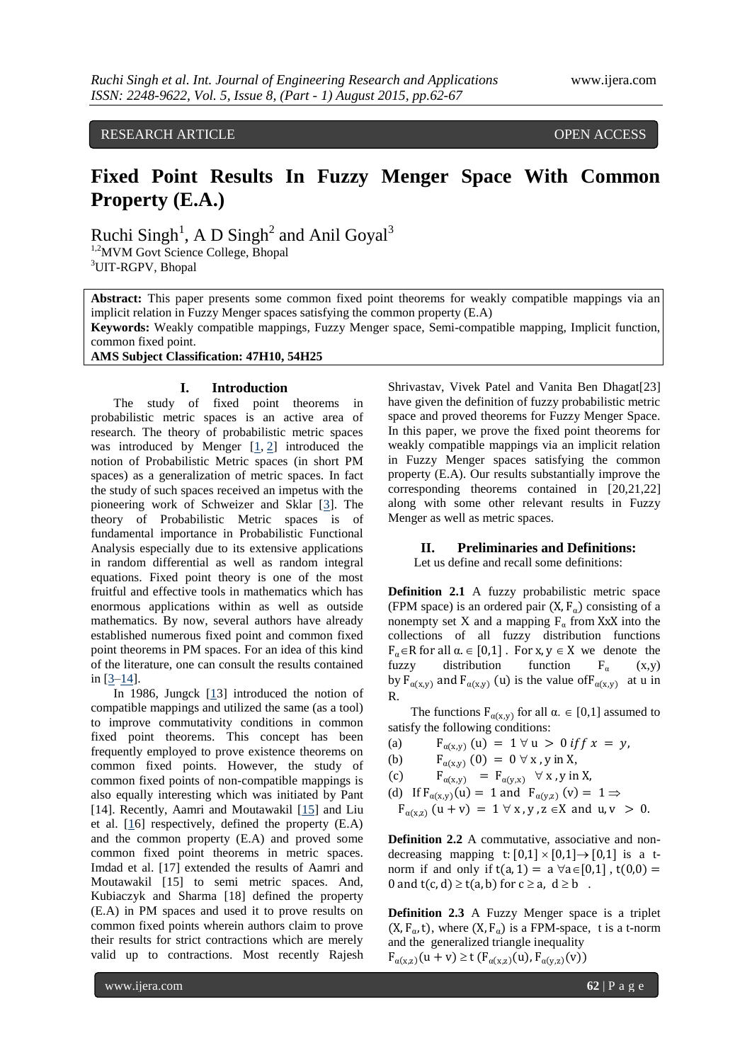RESEARCH ARTICLE **CONSERVERS** OPEN ACCESS

# **Fixed Point Results In Fuzzy Menger Space With Common Property (E.A.)**

Ruchi Singh<sup>1</sup>, A D Singh<sup>2</sup> and Anil Goyal<sup>3</sup>

<sup>1,2</sup>MVM Govt Science College, Bhopal <sup>3</sup>UIT-RGPV, Bhopal

**Abstract:** This paper presents some common fixed point theorems for weakly compatible mappings via an implicit relation in Fuzzy Menger spaces satisfying the common property (E.A)

**Keywords:** Weakly compatible mappings, Fuzzy Menger space, Semi-compatible mapping, Implicit function, common fixed point.

**AMS Subject Classification: 47H10, 54H25**

#### **I. Introduction**

The study of fixed point theorems in probabilistic metric spaces is an active area of research. The theory of probabilistic metric spaces was introduced by Menger  $[1, 2]$  $[1, 2]$  $[1, 2]$  introduced the notion of Probabilistic Metric spaces (in short PM spaces) as a generalization of metric spaces. In fact the study of such spaces received an impetus with the pioneering work of Schweizer and Sklar [\[3\]](http://www.fixedpointtheoryandapplications.com/content/2010/1/819269#B3). The theory of Probabilistic Metric spaces is of fundamental importance in Probabilistic Functional Analysis especially due to its extensive applications in random differential as well as random integral equations. Fixed point theory is one of the most fruitful and effective tools in mathematics which has enormous applications within as well as outside mathematics. By now, several authors have already established numerous fixed point and common fixed point theorems in PM spaces. For an idea of this kind of the literature, one can consult the results contained in  $[3-14]$  $[3-14]$ .

In 1986, Jungck [\[13](http://www.fixedpointtheoryandapplications.com/content/2010/1/819269#B15)] introduced the notion of compatible mappings and utilized the same (as a tool) to improve commutativity conditions in common fixed point theorems. This concept has been frequently employed to prove existence theorems on common fixed points. However, the study of common fixed points of non-compatible mappings is also equally interesting which was initiated by Pant [14]. Recently, Aamri and Moutawakil [15] and Liu et al. [\[16](http://www.fixedpointtheoryandapplications.com/content/2010/1/819269#B18)] respectively, defined the property (E.A) and the common property (E.A) and proved some common fixed point theorems in metric spaces. Imdad et al. [17] extended the results of Aamri and Moutawakil [15] to semi metric spaces. And, Kubiaczyk and Sharma [18] defined the property (E.A) in PM spaces and used it to prove results on common fixed points wherein authors claim to prove their results for strict contractions which are merely valid up to contractions. Most recently Rajesh

Shrivastav, Vivek Patel and Vanita Ben Dhagat[23] have given the definition of fuzzy probabilistic metric space and proved theorems for Fuzzy Menger Space. In this paper, we prove the fixed point theorems for weakly compatible mappings via an implicit relation in Fuzzy Menger spaces satisfying the common property (E.A). Our results substantially improve the corresponding theorems contained in [20,21,22] along with some other relevant results in Fuzzy Menger as well as metric spaces.

#### **II. Preliminaries and Definitions:**

Let us define and recall some definitions:

**Definition 2.1** A fuzzy probabilistic metric space (FPM space) is an ordered pair  $(X, F<sub>a</sub>)$  consisting of a nonempty set X and a mapping  $F_a$  from XxX into the collections of all fuzzy distribution functions  $F_{\alpha} \in \mathbb{R}$  for all  $\alpha \in [0,1]$ . For x,  $y \in X$  we denote the fuzzy distribution function  $F_\alpha$  (x,y) by  $F_{\alpha(x,y)}$  and  $F_{\alpha(x,y)}$  (u) is the value of  $F_{\alpha(x,y)}$  at u in R.

The functions  $F_{\alpha(x,y)}$  for all  $\alpha \in [0,1]$  assumed to satisfy the following conditions:

- (a)  $F_{\alpha(x,y)}(u) = 1 \forall u > 0$  if  $f(x) = y$ ,
- (b)  $F_{\alpha(x,y)}(0) = 0 \,\forall x, y \text{ in } X,$
- (c)  $F_{\alpha(x,y)} = F_{\alpha(y,x)} \forall x, y \text{ in } X,$
- (d) If  $F_{\alpha(x,y)}(u) = 1$  and  $F_{\alpha(y,z)}(v) = 1 \Rightarrow$ 
	- $F_{\alpha(x,z)}$   $(u + v) = 1 \forall x, y, z \in X$  and  $u, v > 0$ .

**Definition 2.2** A commutative, associative and nondecreasing mapping t:  $[0,1] \times [0,1] \rightarrow [0,1]$  is a tnorm if and only if  $t(a, 1) = a \forall a \in [0,1]$ ,  $t(0,0) =$ 0 and  $t(c, d) \ge t(a, b)$  for  $c \ge a, d \ge b$ .

**Definition 2.3** A Fuzzy Menger space is a triplet  $(X, F_{\alpha}, t)$ , where  $(X, F_{\alpha})$  is a FPM-space, t is a t-norm and the generalized triangle inequality  $F_{\alpha(x,z)}(u + v) \ge t \left( F_{\alpha(x,z)}(u), F_{\alpha(y,z)}(v) \right)$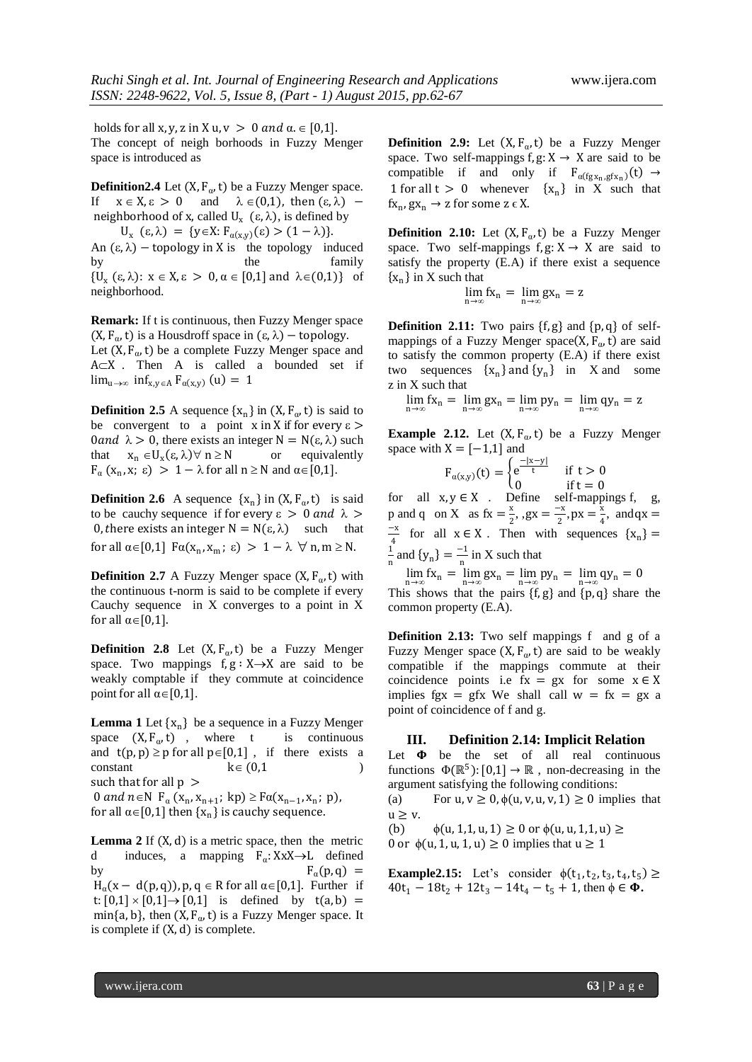holds for all x, y, z in X u,  $v > 0$  and  $\alpha \in [0,1]$ . The concept of neigh borhoods in Fuzzy Menger space is introduced as

**Definition2.4** Let  $(X, F_{\alpha}, t)$  be a Fuzzy Menger space. If  $x \in X$ ,  $\varepsilon > 0$  and  $\lambda \in (0,1)$ , then  $(\varepsilon, \lambda)$  – neighborhood of x, called  $U_x$  ( $\varepsilon$ ,  $\lambda$ ), is defined by  $U_x$  (ε,  $\lambda$ ) = {y \ine X:  $F_{\alpha(x,y)}(\varepsilon) > (1 - \lambda)$ }. An  $(\epsilon, \lambda)$  – topology in X is the topology induced by the family  $\{U_x(\epsilon, \lambda): x \in X, \epsilon > 0, \alpha \in [0,1] \text{ and } \lambda \in (0,1)\}\$  of neighborhood.

**Remark:** If t is continuous, then Fuzzy Menger space (X,  $F_{\alpha}$ , t) is a Housdroff space in  $(\varepsilon, \lambda)$  – topology.

Let  $(X, F_{\alpha}, t)$  be a complete Fuzzy Menger space and  $A \subset X$  . Then A is called a bounded set if  $\lim_{u \to \infty} \inf_{x,y \in A} F_{\alpha(x,y)}(u) = 1$ 

**Definition 2.5** A sequence  $\{x_n\}$  in  $(X, F_\alpha, t)$  is said to be convergent to a point x in X if for every  $\varepsilon$  > 0 and  $\lambda > 0$ , there exists an integer N = N( $\varepsilon$ ,  $\lambda$ ) such that  $x_n \in U_x(\epsilon, \lambda)$   $\forall$  n  $\geq$  N or equivalently  $F_{\alpha}$  (x<sub>n</sub>, x;  $\varepsilon$ ) > 1 –  $\lambda$  for all  $n \ge N$  and  $\alpha \in [0,1]$ .

**Definition 2.6** A sequence  $\{x_n\}$  in  $(X, F_\alpha, t)$  is said to be cauchy sequence if for every  $\varepsilon > 0$  and  $\lambda >$ 0, there exists an integer  $N = N(\epsilon, \lambda)$  such that for all  $\alpha \in [0,1]$   $F\alpha(x_n, x_m; \varepsilon) > 1 - \lambda \quad \forall \ n, m \ge N$ .

**Definition 2.7** A Fuzzy Menger space  $(X, F_{\alpha}, t)$  with the continuous t-norm is said to be complete if every Cauchy sequence in X converges to a point in X for all  $\alpha \in [0,1]$ .

**Definition 2.8** Let  $(X, F_\alpha, t)$  be a Fuzzy Menger space. Two mappings  $f, g : X \rightarrow X$  are said to be weakly comptable if they commute at coincidence point for all  $\alpha \in [0,1]$ .

**Lemma 1** Let  $\{x_n\}$  be a sequence in a Fuzzy Menger space  $(X, F_\alpha, t)$ , where t is continuous and  $t(p, p) \ge p$  for all  $p \in [0,1]$ , if there exists a  $\text{constant}$   $k \in (0,1)$  ) such that for all  $p >$ 0 and  $n \in N$   $F_{\alpha}(x_n, x_{n+1}; k p) \geq F_{\alpha}(x_{n-1}, x_n; p)$ , for all  $\alpha \in [0,1]$  then  $\{x_n\}$  is cauchy sequence.

**Lemma 2** If (X, d) is a metric space, then the metric d induces, a mapping  $F_{\alpha}$ : XxX $\rightarrow$ L defined by  $F_\alpha(p,q) =$  $H_{\alpha}(x - d(p,q))$ , p, q  $\in$  R for all  $\alpha \in [0,1]$ . Further if t:  $[0,1] \times [0,1] \rightarrow [0,1]$  is defined by t(a, b) = min{a, b}, then  $(X, F_{\alpha}, t)$  is a Fuzzy Menger space. It is complete if (X, d) is complete.

**Definition 2.9:** Let  $(X, F_{\alpha}, t)$  be a Fuzzy Menger space. Two self-mappings f,  $g: X \rightarrow X$  are said to be compatible if and only if  $F_{\alpha(fgx_n, gfx_n)}(t) \rightarrow$ 1 for all  $t > 0$  whenever  $\{x_n\}$  in X such that  $fx_n, gx_n \to z$  for some  $z \in X$ .

**Definition 2.10:** Let  $(X, F_{\alpha}, t)$  be a Fuzzy Menger space. Two self-mappings  $f, g: X \rightarrow X$  are said to satisfy the property (E.A) if there exist a sequence  $\{x_n\}$  in X such that

$$
\lim_{n\to\infty}fx_n=\lim_{n\to\infty}gx_n=z
$$

**Definition 2.11:** Two pairs  $\{f, g\}$  and  $\{p, q\}$  of selfmappings of a Fuzzy Menger space( $X$ ,  $F_{\alpha}$ , t) are said to satisfy the common property (E.A) if there exist two sequences  $\{x_n\}$  and  $\{y_n\}$  in X and some z in X such that

 $\lim_{n \to \infty} fx_n = \lim_{n \to \infty} gx_n = \lim_{n \to \infty} py_n = \lim_{n \to \infty} qy_n = z$ 

**Example 2.12.** Let  $(X, F_\alpha, t)$  be a Fuzzy Menger space with  $X = [-1,1]$  and

$$
F_{\alpha(x,y)}(t) = \begin{cases} e^{\frac{-|x-y|}{t}} & \text{if } t > 0\\ 0 & \text{if } t = 0 \end{cases}
$$

for all  $x, y \in X$ . Define self-mappings f, g, p and q on X as  $fx = \frac{x}{a}$  $\frac{x}{2}$ , , gx =  $\frac{-x}{2}$  $\frac{-x}{2}$ , px =  $\frac{x}{4}$  $\frac{2}{4}$ , and qx = −x  $\frac{4}{4}$  for all  $x \in X$ . Then with sequences  $\{x_n\} =$ 1  $\frac{1}{n}$  and  $\{y_n\} = \frac{-1}{n}$  $\frac{1}{n}$  in X such that

 $\lim_{n \to \infty} fx_n = \lim_{n \to \infty} gx_n = \lim_{n \to \infty} py_n = \lim_{n \to \infty} qy_n = 0$ 

This shows that the pairs  $\{f, g\}$  and  $\{p, q\}$  share the common property (E.A).

**Definition 2.13:** Two self mappings f and g of a Fuzzy Menger space  $(X, F_{\alpha}, t)$  are said to be weakly compatible if the mappings commute at their coincidence points i.e fx = gx for some  $x \in X$ implies fgx = gfx We shall call  $w = fx = gx$  a point of coincidence of f and g.

### **III. Definition 2.14: Implicit Relation**

Let  $\Phi$  be the set of all real continuous functions  $\Phi(\mathbb{R}^5): [0,1] \to \mathbb{R}$ , non-decreasing in the argument satisfying the following conditions:

(a) For  $u, v \ge 0$ ,  $\phi(u, v, u, v, 1) \ge 0$  implies that  $u \geq v$ .

(b)  $\phi(u, 1, 1, u, 1) \ge 0$  or  $\phi(u, u, 1, 1, u) \ge 0$ 0 or  $\phi(u, 1, u, 1, u) \ge 0$  implies that  $u \ge 1$ 

**Example2.15:** Let's consider  $\phi(t_1, t_2, t_3, t_4, t_5) \ge$  $40t_1 - 18t_2 + 12t_3 - 14t_4 - t_5 + 1$ , then  $\phi \in \Phi$ .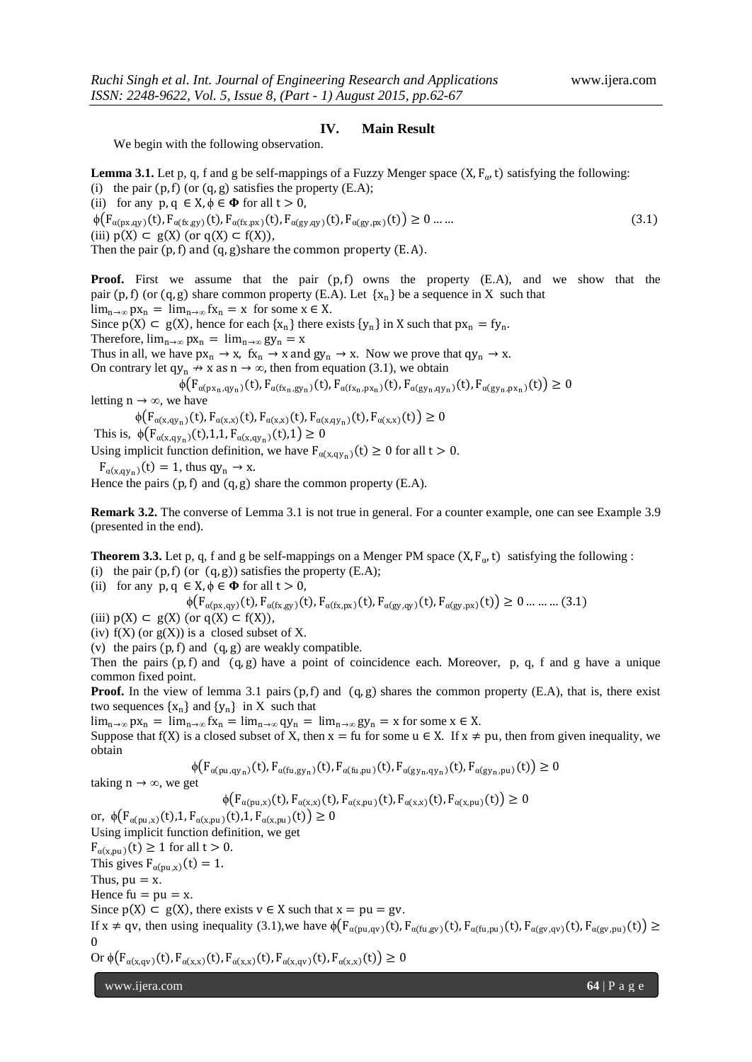## **IV. Main Result**

We begin with the following observation.

**Lemma 3.1.** Let p, q, f and g be self-mappings of a Fuzzy Menger space  $(X, F_\alpha, t)$  satisfying the following: (i) the pair  $(p, f)$  (or  $(q, g)$  satisfies the property  $(E.A)$ ;

(ii) for any  $p, q \in X, \phi \in \Phi$  for all  $t > 0$ ,

 $\phi(F_{\alpha(p x, q y)}(t), F_{\alpha(f x, g y)}(t), F_{\alpha(f x, px)}(t), F_{\alpha(g y, q y)}(t), F_{\alpha(g y, px)}(t)) \ge 0 \dots \dots$  (3.1) (iii)  $p(X) \subset g(X)$  (or  $q(X) \subset f(X)$ ),

Then the pair  $(p, f)$  and  $(q, g)$ share the common property  $(E. A)$ .

**Proof.** First we assume that the pair  $(p, f)$  owns the property (E.A), and we show that the pair (p, f) (or (q, g) share common property (E.A). Let  $\{x_n\}$  be a sequence in X such that  $\lim_{n\to\infty} px_n = \lim_{n\to\infty} fx_n = x$  for some  $x \in X$ .

Since  $p(X) \subset g(X)$ , hence for each  $\{x_n\}$  there exists  $\{y_n\}$  in X such that  $px_n = fy_n$ .

Therefore,  $\lim_{n\to\infty} px_n = \lim_{n\to\infty} gy_n = x$ 

Thus in all, we have  $px_n \rightarrow x$ ,  $fx_n \rightarrow x$  and  $gy_n \rightarrow x$ . Now we prove that  $qy_n \rightarrow x$ .

On contrary let  $qy_n \nrightarrow x$  as  $n \rightarrow \infty$ , then from equation (3.1), we obtain

 $\phi(F_{\alpha(p x_n,q y_n)}(t), F_{\alpha(f x_n,g y_n)}(t), F_{\alpha(f x_n,p x_n)}(t), F_{\alpha(g y_n,q y_n)}(t), F_{\alpha(g y_n,p x_n)}(t)) \ge 0$ 

letting  $n \rightarrow \infty$ , we have

 $\phi(F_{\alpha(x,qy_n)}(t), F_{\alpha(x,x)}(t), F_{\alpha(x,x)}(t), F_{\alpha(x,qy_n)}(t), F_{\alpha(x,x)}(t)) \ge 0$ 

This is,  $\phi(F_{\alpha(x,qy_n)}(t),1,1,F_{\alpha(x,qy_n)}(t),1) \ge 0$ 

Using implicit function definition, we have  $F_{\alpha(x,qy_n)}(t) \ge 0$  for all  $t > 0$ .

 $F_{\alpha(x,qy_n)}(t) = 1$ , thus  $qy_n \rightarrow x$ .

Hence the pairs  $(p, f)$  and  $(q, g)$  share the common property  $(E.A)$ .

**Remark 3.2.** The converse of Lemma 3.1 is not true in general. For a counter example, one can see Example 3.9 (presented in the end).

**Theorem 3.3.** Let p, q, f and g be self-mappings on a Menger PM space  $(X, F_{\alpha}, t)$  satisfying the following : (i) the pair  $(p, f)$  (or  $(q, g)$ ) satisfies the property  $(E.A)$ ;

(ii) for any  $p, q \in X, \phi \in \Phi$  for all  $t > 0$ ,

$$
\phi(F_{\alpha(\text{px,qy})}(t), F_{\alpha(\text{fx,gy})}(t), F_{\alpha(\text{fx,px})}(t), F_{\alpha(\text{gy,qy})}(t), F_{\alpha(\text{gy,px})}(t)) \ge 0 \dots \dots \dots (3.1)
$$

(iii)  $p(X) \subset g(X)$  (or  $q(X) \subset f(X)$ ),

(iv)  $f(X)$  (or  $g(X)$ ) is a closed subset of X.

(v) the pairs  $(p, f)$  and  $(q, g)$  are weakly compatible.

Then the pairs  $(p, f)$  and  $(q, g)$  have a point of coincidence each. Moreover, p, q, f and g have a unique common fixed point.

**Proof.** In the view of lemma 3.1 pairs  $(p, f)$  and  $(q, g)$  shares the common property  $(E.A)$ , that is, there exist two sequences  $\{x_n\}$  and  $\{y_n\}$  in X such that

lim<sub>n→∞</sub> px<sub>n</sub> = lim<sub>n→∞</sub> fx<sub>n</sub> = lim<sub>n→∞</sub> qy<sub>n</sub> = lim<sub>n→∞</sub> gy<sub>n</sub> = x for some x ∈ X.

Suppose that f(X) is a closed subset of X, then  $x = fu$  for some  $u \in X$ . If  $x \neq pu$ , then from given inequality, we obtain

$$
\phi(F_{\alpha(pu,qy_n)}(t), F_{\alpha(fu,gy_n)}(t), F_{\alpha(fu,pu)}(t), F_{\alpha(gy_n,qy_n)}(t), F_{\alpha(gy_n,pu)}(t)) \ge 0
$$

taking  $n \rightarrow \infty$ , we get

$$
\phi(F_{\alpha(\text{pu},x)}(t), F_{\alpha(x,x)}(t), F_{\alpha(x,\text{pu})}(t), F_{\alpha(x,x)}(t), F_{\alpha(x,\text{pu})}(t)) \ge 0
$$

or,  $\phi(F_{\alpha(pu,x)}(t), 1, F_{\alpha(x,pu)}(t), 1, F_{\alpha(x,pu)}(t)) \ge 0$ Using implicit function definition, we get  $F_{\alpha(x,pu)}(t) \ge 1$  for all  $t > 0$ . This gives  $F_{\alpha(\text{pu},x)}(t) = 1$ . Thus,  $pu = x$ . Hence  $fu = pu = x$ . Since  $p(X) \subset g(X)$ , there exists  $v \in X$  such that  $x = pu = gv$ . If  $x \neq qv$ , then using inequality (3.1), we have  $\phi(F_{\alpha(pu,qv)}(t), F_{\alpha(fu,gv)}(t), F_{\alpha(fu,pu)}(t), F_{\alpha(gv,qv)}(t), F_{\alpha(gv,pu)}(t)) \ge$ 0 Or  $\phi(F_{\alpha(x,qv)}(t), F_{\alpha(x,x)}(t), F_{\alpha(x,x)}(t), F_{\alpha(x,qv)}(t), F_{\alpha(x,x)}(t)) \ge 0$ 

www.ijera.com **64** | P a g e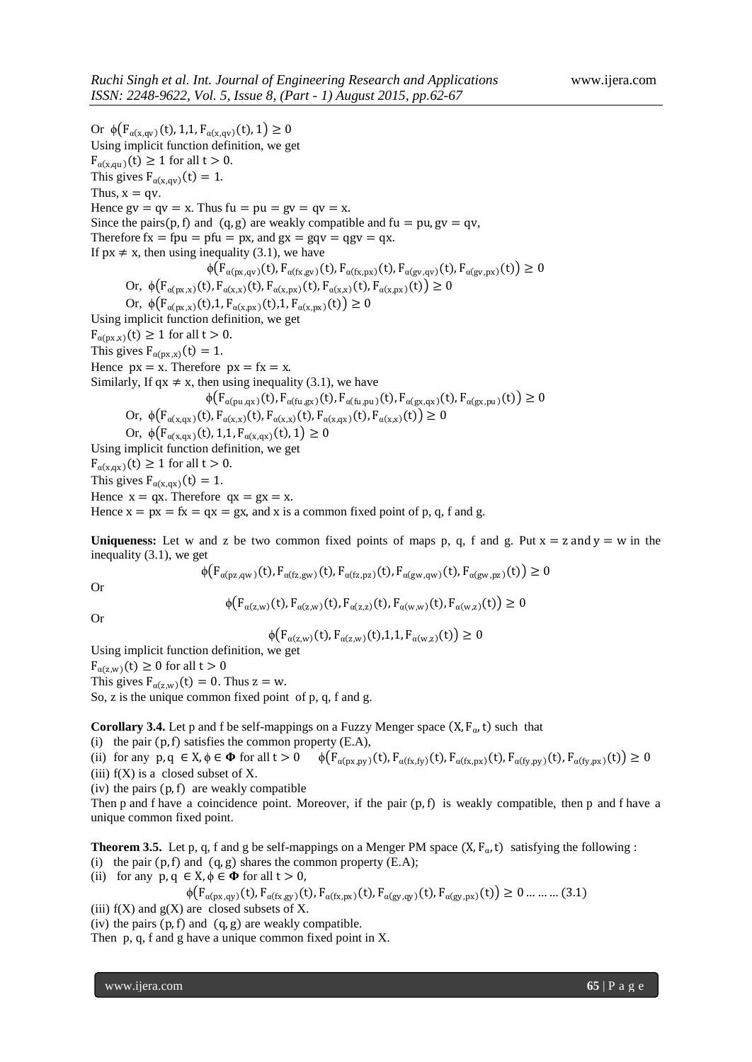Or  $\phi(F_{\alpha(x, \alpha y)}(t), 1, 1, F_{\alpha(x, \alpha y)}(t), 1) \ge 0$ Using implicit function definition, we get  $F_{\alpha(x,\text{qu})}(t) \geq 1$  for all  $t > 0$ . This gives  $F_{\alpha(x,qy)}(t) = 1$ . Thus,  $x = qv$ . Hence  $gv = qv = x$ . Thus  $fu = pu = gv = qv = x$ . Since the pairs(p, f) and (q, g) are weakly compatible and fu = pu, gv = qv, Therefore  $fx = fpu = pfu = px$ , and  $gx = gqv = qgv = qx$ . If  $px \neq x$ , then using inequality (3.1), we have  $\phi(F_{\alpha(p_X, q_Y)}(t), F_{\alpha(f_X, g_Y)}(t), F_{\alpha(g_Y, px)}(t), F_{\alpha(g_Y, q_Y)}(t), F_{\alpha(g_Y, px)}(t)) \ge 0$ Or,  $\phi(F_{\alpha(p_X,x)}(t), F_{\alpha(x,x)}(t), F_{\alpha(x,px)}(t), F_{\alpha(x,x)}(t), F_{\alpha(x,px)}(t)) \geq 0$ Or,  $\phi(F_{\alpha(\text{px},x)}(t),1, F_{\alpha(x,\text{px})}(t),1, F_{\alpha(x,\text{px})}(t)) \ge 0$ Using implicit function definition, we get  $F_{\alpha(\text{px},x)}(t) \geq 1$  for all  $t > 0$ . This gives  $F_{\alpha(\text{px},x)}(t) = 1$ . Hence  $px = x$ . Therefore  $px = fx = x$ . Similarly, If qx  $\neq$  x, then using inequality (3.1), we have  $\phi(F_{\alpha(\text{pu},\text{qx})}(t), F_{\alpha(\text{fu},\text{gx})}(t), F_{\alpha(\text{fu},\text{pu})}(t), F_{\alpha(\text{gx},\text{gx})}(t), F_{\alpha(\text{gx},\text{pu})}(t)) \ge 0$ Or,  $\phi(F_{\alpha(x,qx)}(t), F_{\alpha(x,x)}(t), F_{\alpha(x,x)}(t), F_{\alpha(x,qx)}(t), F_{\alpha(x,x)}(t)) \ge 0$ Or,  $\phi(F_{\alpha(x,qx)}(t), 1,1, F_{\alpha(x,qx)}(t), 1) \geq 0$ Using implicit function definition, we get  $F_{\alpha(x,\alpha x)}(t) \ge 1$  for all  $t > 0$ . This gives  $F_{\alpha(x,\alpha x)}(t) = 1$ . Hence  $x = qx$ . Therefore  $qx = gx = x$ . Hence  $x = px = fx = qx = gx$ , and x is a common fixed point of p, q, f and g.

**Uniqueness:** Let w and z be two common fixed points of maps p, q, f and g. Put  $x = z$  and  $y = w$  in the inequality (3.1), we get

$$
\varphi(F_{\alpha(pz,qw)}(t), F_{\alpha(fz,gw)}(t), F_{\alpha(fz,pz)}(t), F_{\alpha(gw,qw)}(t), F_{\alpha(gw,pz)}(t)) \ge 0
$$

Or

$$
\phi(F_{\alpha(z,w)}(t), F_{\alpha(z,w)}(t), F_{\alpha(z,z)}(t), F_{\alpha(w,w)}(t), F_{\alpha(w,z)}(t)) \ge 0
$$

Or

$$
\phi(F_{\alpha(z,w)}(t), F_{\alpha(z,w)}(t), 1, 1, F_{\alpha(w,z)}(t)) \ge 0
$$

Using implicit function definition, we get

 $F_{\alpha(z,w)}(t) \geq 0$  for all  $t > 0$ 

This gives  $F_{\alpha(z,w)}(t) = 0$ . Thus  $z = w$ . So, z is the unique common fixed point of p, q, f and g.

**Corollary 3.4.** Let p and f be self-mappings on a Fuzzy Menger space  $(X, F_{\alpha}, t)$  such that

(i) the pair  $(p, f)$  satisfies the common property  $(E.A)$ ,

(ii) for any  $p, q \in X$ ,  $\phi \in \Phi$  for all  $t > 0$   $\phi(F_{\alpha(p x, py)}(t), F_{\alpha(f x, fy)}(t), F_{\alpha(f x, px)}(t), F_{\alpha(f y, py)}(t), F_{\alpha(f y, py)}(t)) \ge 0$ (iii)  $f(X)$  is a closed subset of X.

(iv) the pairs  $(p, f)$  are weakly compatible

Then p and f have a coincidence point. Moreover, if the pair  $(p, f)$  is weakly compatible, then p and f have a unique common fixed point.

**Theorem 3.5.** Let p, q, f and g be self-mappings on a Menger PM space  $(X, F_{\alpha}, t)$  satisfying the following :

(i) the pair  $(p, f)$  and  $(q, g)$  shares the common property  $(E.A)$ ;

(ii) for any  $p, q \in X, \phi \in \Phi$  for all  $t > 0$ ,

$$
\phi(F_{\alpha(px,qy)}(t), F_{\alpha(fx,gy)}(t), F_{\alpha(fx,px)}(t), F_{\alpha(gy,qy)}(t), F_{\alpha(gy,px)}(t)) \ge 0 \dots \dots \dots (3.1)
$$

(iii)  $f(X)$  and  $g(X)$  are closed subsets of X.

(iv) the pairs  $(p, f)$  and  $(q, g)$  are weakly compatible.

Then p, q, f and g have a unique common fixed point in X.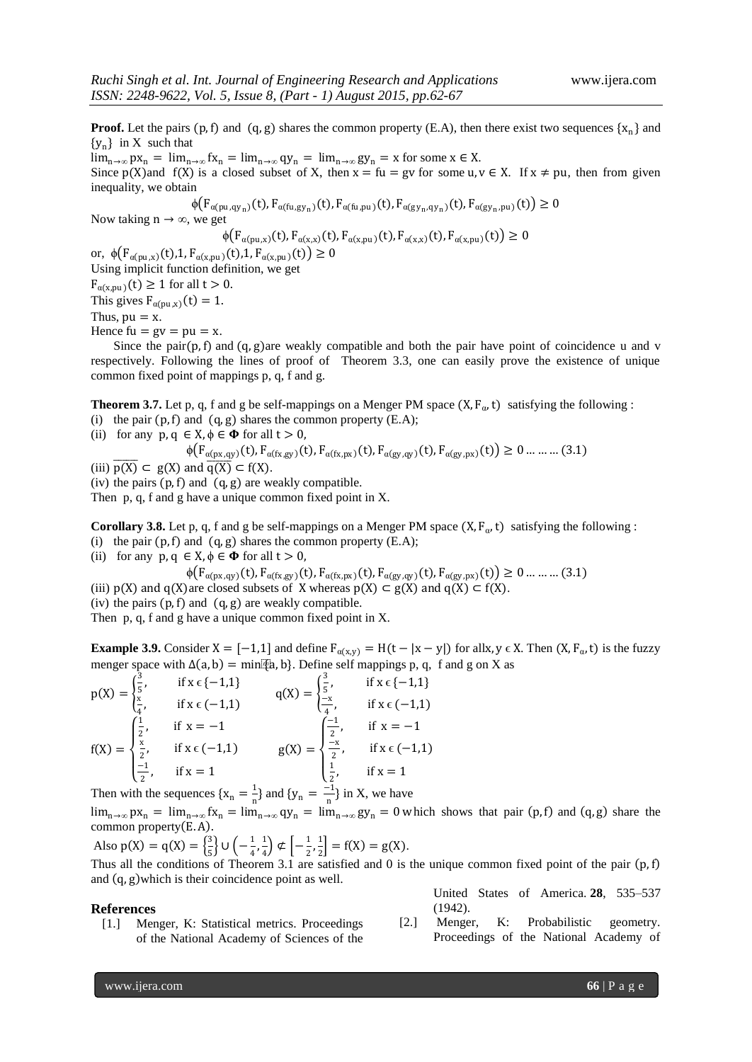**Proof.** Let the pairs  $(p, f)$  and  $(q, g)$  shares the common property  $(E.A)$ , then there exist two sequences  $\{x_n\}$  and  ${y_n}$  in X such that  $\lim_{n\to\infty} px_n = \lim_{n\to\infty} fx_n = \lim_{n\to\infty} qy_n = \lim_{n\to\infty} gy_n = x$  for some  $x \in X$ .

Since p(X)and f(X) is a closed subset of X, then  $x = fu = gv$  for some u,  $v \in X$ . If  $x \neq pu$ , then from given inequality, we obtain

$$
\phi(F_{\alpha(\text{pu},\text{qy}_n)}(t), F_{\alpha(\text{fu},\text{gy}_n)}(t), F_{\alpha(\text{fu},\text{pu})}(t), F_{\alpha(\text{gy}_n,\text{qy}_n)}(t), F_{\alpha(\text{gy}_n,\text{pu})}(t)) \ge 0
$$

Now taking  $n \rightarrow \infty$ , we get

$$
\phi(F_{\alpha(\text{pu},x)}(t), F_{\alpha(x,x)}(t), F_{\alpha(x,\text{pu})}(t), F_{\alpha(x,x)}(t), F_{\alpha(x,\text{pu})}(t)) \ge 0
$$

or,  $\phi(F_{\alpha(pu,x)}(t), 1, F_{\alpha(x,pu)}(t), 1, F_{\alpha(x,pu)}(t)) \ge 0$ Using implicit function definition, we get

 $F_{\alpha(x,pu)}(t) \ge 1$  for all  $t > 0$ .

This gives  $F_{\alpha(pu,x)}(t) = 1$ .

Thus,  $pu = x$ .

Hence  $fu = gv = pu = x$ .

Since the pair $(p, f)$  and  $(q, g)$  are weakly compatible and both the pair have point of coincidence u and v respectively. Following the lines of proof of Theorem 3.3, one can easily prove the existence of unique common fixed point of mappings p, q, f and g.

**Theorem 3.7.** Let p, q, f and g be self-mappings on a Menger PM space  $(X, F_\alpha, t)$  satisfying the following : (i) the pair  $(p, f)$  and  $(q, g)$  shares the common property  $(E.A)$ ;

(ii) for any  $p, q \in X, \phi \in \Phi$  for all  $t > 0$ ,

$$
\phi\big(\mathbf{F}_{\alpha(\mathbf{p}\mathbf{x},\mathbf{q}\mathbf{y})}(\mathbf{t}),\mathbf{F}_{\alpha(\mathbf{f}\mathbf{x},\mathbf{g}\mathbf{y})}(\mathbf{t}),\mathbf{F}_{\alpha(\mathbf{f}\mathbf{x},\mathbf{p}\mathbf{x})}(\mathbf{t}),\mathbf{F}_{\alpha(\mathbf{g}\mathbf{y},\mathbf{q}\mathbf{y})}(\mathbf{t}),\mathbf{F}_{\alpha(\mathbf{g}\mathbf{y},\mathbf{p}\mathbf{x})}(\mathbf{t})\big)\geq 0\ldots\ldots\ldots(3.1)
$$

(iii)  $\overline{p(X)} \subset g(X)$  and  $\overline{q(X)} \subset f(X)$ .

(iv) the pairs  $(p, f)$  and  $(q, g)$  are weakly compatible.

Then p, q, f and g have a unique common fixed point in X.

**Corollary 3.8.** Let p, q, f and g be self-mappings on a Menger PM space  $(X, F_{\alpha}, t)$  satisfying the following : (i) the pair  $(p, f)$  and  $(q, g)$  shares the common property  $(E.A)$ ;

(ii) for any  $p, q \in X, \phi \in \Phi$  for all  $t > 0$ ,

 $\phi(F_{\alpha(p x, q y)}(t), F_{\alpha(f x, g y)}(t), F_{\alpha(f x, px)}(t), F_{\alpha(g y, q y)}(t), F_{\alpha(g y, px)}(t)) \ge 0$  ... ... ... (3.1)

(iii)  $p(X)$  and  $q(X)$  are closed subsets of X whereas  $p(X) \subset g(X)$  and  $q(X) \subset f(X)$ .

(iv) the pairs  $(p, f)$  and  $(q, g)$  are weakly compatible.

Then p, q, f and g have a unique common fixed point in X.

**Example 3.9.** Consider  $X = [-1,1]$  and define  $F_{\alpha(x,y)} = H(t - |x - y|)$  for allx,  $y \in X$ . Then  $(X, F_{\alpha}, t)$  is the fuzzy menger space with  $\Delta(a, b) = \min\{a, b\}$ . Define self mappings p, q, f and g on X as

$$
p(X) = \begin{cases} \frac{3}{5}, & \text{if } x \in \{-1, 1\} \\ \frac{x}{4}, & \text{if } x \in (-1, 1) \end{cases} \qquad q(X) = \begin{cases} \frac{3}{5}, & \text{if } x \in \{-1, 1\} \\ \frac{-x}{4}, & \text{if } x \in (-1, 1) \end{cases}
$$
\n
$$
f(X) = \begin{cases} \frac{1}{2}, & \text{if } x = -1 \\ \frac{x}{2}, & \text{if } x \in (-1, 1) \end{cases} \qquad q(X) = \begin{cases} \frac{-1}{2}, & \text{if } x = -1 \\ \frac{-x}{2}, & \text{if } x \in (-1, 1) \end{cases}
$$
\n
$$
g(X) = \begin{cases} \frac{-1}{2}, & \text{if } x \in (-1, 1) \\ \frac{1}{2}, & \text{if } x = 1 \end{cases}
$$

Then with the sequences  $\{x_n = \frac{1}{n}\}$  $\frac{1}{n}$ } and {y<sub>n</sub> =  $\frac{-1}{n}$  $\frac{1}{n}$  in X, we have

 $\lim_{n\to\infty} px_n = \lim_{n\to\infty} fx_n = \lim_{n\to\infty} qy_n = \lim_{n\to\infty} gy_n = 0$  which shows that pair (p, f) and (q, g) share the common property  $(E.A)$ .

Also 
$$
p(X) = q(X) = \left\{\frac{3}{5}\right\} \cup \left(-\frac{1}{4}, \frac{1}{4}\right) \notin \left[-\frac{1}{2}, \frac{1}{2}\right] = f(X) = g(X).
$$

Thus all the conditions of Theorem 3.1 are satisfied and 0 is the unique common fixed point of the pair  $(p, f)$ and  $(q, g)$  which is their coincidence point as well.

## **References**

[1.] Menger, K: Statistical metrics. Proceedings of the National Academy of Sciences of the United States of America. **28**, 535–537 (1942).

[2.] Menger, K: Probabilistic geometry. Proceedings of the National Academy of